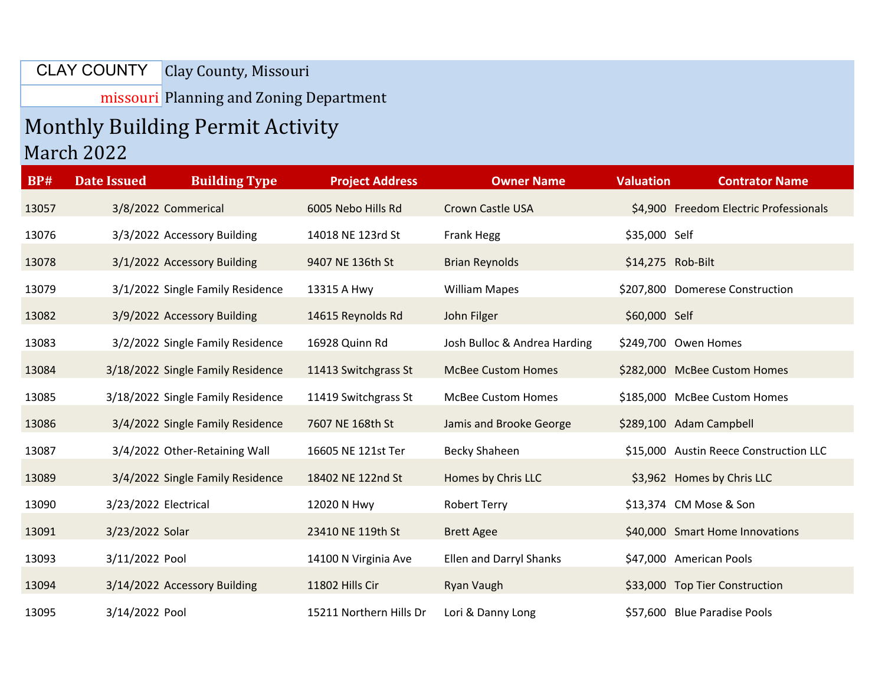Clay County, Missouri CLAY COUNTY

missouri Planning and Zoning Department

## Monthly Building Permit Activity March 2022

| <b>BP#</b> | <b>Date Issued</b>   | <b>Building Type</b>              | <b>Project Address</b>  | <b>Owner Name</b>              | <b>Valuation</b> | <b>Contrator Name</b>                  |
|------------|----------------------|-----------------------------------|-------------------------|--------------------------------|------------------|----------------------------------------|
| 13057      |                      | 3/8/2022 Commerical               | 6005 Nebo Hills Rd      | Crown Castle USA               |                  | \$4,900 Freedom Electric Professionals |
| 13076      |                      | 3/3/2022 Accessory Building       | 14018 NE 123rd St       | <b>Frank Hegg</b>              | \$35,000 Self    |                                        |
| 13078      |                      | 3/1/2022 Accessory Building       | 9407 NE 136th St        | <b>Brian Reynolds</b>          |                  | \$14,275 Rob-Bilt                      |
| 13079      |                      | 3/1/2022 Single Family Residence  | 13315 A Hwy             | <b>William Mapes</b>           |                  | \$207,800 Domerese Construction        |
| 13082      |                      | 3/9/2022 Accessory Building       | 14615 Reynolds Rd       | John Filger                    | \$60,000 Self    |                                        |
| 13083      |                      | 3/2/2022 Single Family Residence  | 16928 Quinn Rd          | Josh Bulloc & Andrea Harding   |                  | \$249,700 Owen Homes                   |
| 13084      |                      | 3/18/2022 Single Family Residence | 11413 Switchgrass St    | <b>McBee Custom Homes</b>      |                  | \$282,000 McBee Custom Homes           |
| 13085      |                      | 3/18/2022 Single Family Residence | 11419 Switchgrass St    | <b>McBee Custom Homes</b>      |                  | \$185,000 McBee Custom Homes           |
| 13086      |                      | 3/4/2022 Single Family Residence  | 7607 NE 168th St        | Jamis and Brooke George        |                  | \$289,100 Adam Campbell                |
| 13087      |                      | 3/4/2022 Other-Retaining Wall     | 16605 NE 121st Ter      | Becky Shaheen                  |                  | \$15,000 Austin Reece Construction LLC |
| 13089      |                      | 3/4/2022 Single Family Residence  | 18402 NE 122nd St       | Homes by Chris LLC             |                  | \$3,962 Homes by Chris LLC             |
| 13090      | 3/23/2022 Electrical |                                   | 12020 N Hwy             | <b>Robert Terry</b>            |                  | \$13,374 CM Mose & Son                 |
| 13091      | 3/23/2022 Solar      |                                   | 23410 NE 119th St       | <b>Brett Agee</b>              |                  | \$40,000 Smart Home Innovations        |
| 13093      | 3/11/2022 Pool       |                                   | 14100 N Virginia Ave    | <b>Ellen and Darryl Shanks</b> |                  | \$47,000 American Pools                |
| 13094      |                      | 3/14/2022 Accessory Building      | 11802 Hills Cir         | Ryan Vaugh                     |                  | \$33,000 Top Tier Construction         |
| 13095      | 3/14/2022 Pool       |                                   | 15211 Northern Hills Dr | Lori & Danny Long              |                  | \$57,600 Blue Paradise Pools           |